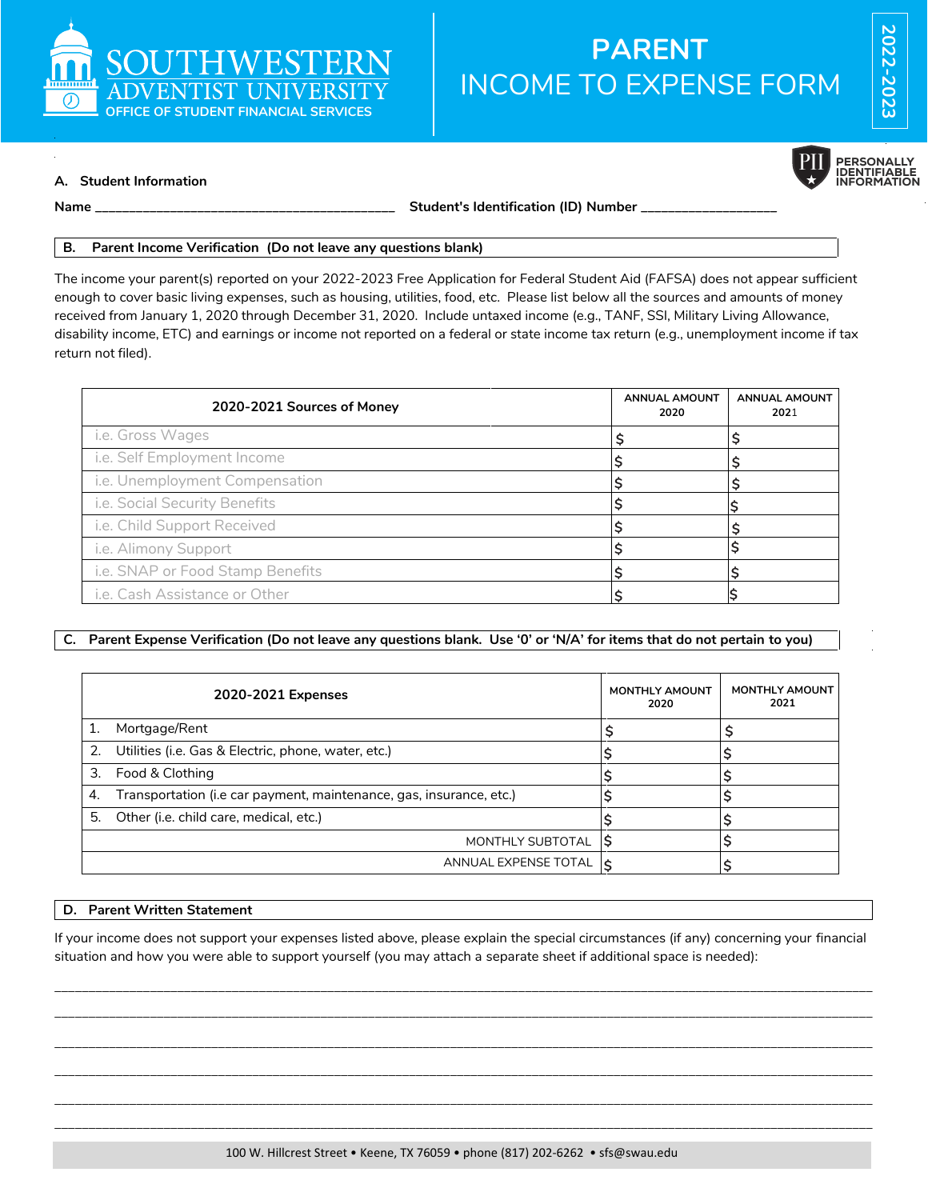

# INCOME TO EXPENSE FORM **PARENT**



**A. Student Information**

**Name \_\_\_\_\_\_\_\_\_\_\_\_\_\_\_\_\_\_\_\_\_\_\_\_\_\_\_\_\_\_\_\_\_\_\_\_\_\_\_\_\_\_\_\_ Student's Identification (ID) Number \_\_\_\_\_\_\_\_\_\_\_\_\_\_\_\_\_\_\_\_**

#### **B. Parent Income Verification (Do not leave any questions blank)**

The income your parent(s) reported on your 2022-2023 Free Application for Federal Student Aid (FAFSA) does not appear sufficient enough to cover basic living expenses, such as housing, utilities, food, etc. Please list below all the sources and amounts of money received from January 1, 2020 through December 31, 2020. Include untaxed income (e.g., TANF, SSI, Military Living Allowance, disability income, ETC) and earnings or income not reported on a federal or state income tax return (e.g., unemployment income if tax return not filed).

| 2020-2021 Sources of Money       | <b>ANNUAL AMOUNT</b><br>2020 | <b>ANNUAL AMOUNT</b><br>2021 |
|----------------------------------|------------------------------|------------------------------|
| i.e. Gross Wages                 |                              |                              |
| i.e. Self Employment Income      |                              |                              |
| i.e. Unemployment Compensation   |                              |                              |
| i.e. Social Security Benefits    |                              |                              |
| i.e. Child Support Received      |                              |                              |
| i.e. Alimony Support             |                              |                              |
| i.e. SNAP or Food Stamp Benefits |                              |                              |
| i.e. Cash Assistance or Other    |                              |                              |

## **C. Parent Expense Verification (Do not leave any questions blank. Use '0' or 'N/A' for items that do not pertain to you)**

|    | 2020-2021 Expenses                                                  | <b>MONTHLY AMOUNT</b><br>2020 | <b>MONTHLY AMOUNT</b><br>2021 |
|----|---------------------------------------------------------------------|-------------------------------|-------------------------------|
|    | Mortgage/Rent                                                       |                               |                               |
|    | 2. Utilities (i.e. Gas & Electric, phone, water, etc.)              |                               |                               |
| 3. | Food & Clothing                                                     |                               |                               |
| 4. | Transportation (i.e car payment, maintenance, gas, insurance, etc.) |                               |                               |
| 5. | Other (i.e. child care, medical, etc.)                              |                               |                               |
|    | MONTHLY SUBTOTAL                                                    |                               |                               |
|    | ANNUAL EXPENSE TOTAL                                                | I ج                           |                               |

## **D. Parent Written Statement**

If your income does not support your expenses listed above, please explain the special circumstances (if any) concerning your financial situation and how you were able to support yourself (you may attach a separate sheet if additional space is needed):

\_\_\_\_\_\_\_\_\_\_\_\_\_\_\_\_\_\_\_\_\_\_\_\_\_\_\_\_\_\_\_\_\_\_\_\_\_\_\_\_\_\_\_\_\_\_\_\_\_\_\_\_\_\_\_\_\_\_\_\_\_\_\_\_\_\_\_\_\_\_\_\_\_\_\_\_\_\_\_\_\_\_\_\_\_\_\_\_\_\_\_\_\_\_\_\_\_\_\_\_\_\_\_\_\_\_\_\_\_\_\_\_\_\_\_\_\_\_\_\_ \_\_\_\_\_\_\_\_\_\_\_\_\_\_\_\_\_\_\_\_\_\_\_\_\_\_\_\_\_\_\_\_\_\_\_\_\_\_\_\_\_\_\_\_\_\_\_\_\_\_\_\_\_\_\_\_\_\_\_\_\_\_\_\_\_\_\_\_\_\_\_\_\_\_\_\_\_\_\_\_\_\_\_\_\_\_\_\_\_\_\_\_\_\_\_\_\_\_\_\_\_\_\_\_\_\_\_\_\_\_\_\_\_\_\_\_\_\_\_\_

\_\_\_\_\_\_\_\_\_\_\_\_\_\_\_\_\_\_\_\_\_\_\_\_\_\_\_\_\_\_\_\_\_\_\_\_\_\_\_\_\_\_\_\_\_\_\_\_\_\_\_\_\_\_\_\_\_\_\_\_\_\_\_\_\_\_\_\_\_\_\_\_\_\_\_\_\_\_\_\_\_\_\_\_\_\_\_\_\_\_\_\_\_\_\_\_\_\_\_\_\_\_\_\_\_\_\_\_\_\_\_\_\_\_\_\_\_\_\_\_ \_\_\_\_\_\_\_\_\_\_\_\_\_\_\_\_\_\_\_\_\_\_\_\_\_\_\_\_\_\_\_\_\_\_\_\_\_\_\_\_\_\_\_\_\_\_\_\_\_\_\_\_\_\_\_\_\_\_\_\_\_\_\_\_\_\_\_\_\_\_\_\_\_\_\_\_\_\_\_\_\_\_\_\_\_\_\_\_\_\_\_\_\_\_\_\_\_\_\_\_\_\_\_\_\_\_\_\_\_\_\_\_\_\_\_\_\_\_\_\_ \_\_\_\_\_\_\_\_\_\_\_\_\_\_\_\_\_\_\_\_\_\_\_\_\_\_\_\_\_\_\_\_\_\_\_\_\_\_\_\_\_\_\_\_\_\_\_\_\_\_\_\_\_\_\_\_\_\_\_\_\_\_\_\_\_\_\_\_\_\_\_\_\_\_\_\_\_\_\_\_\_\_\_\_\_\_\_\_\_\_\_\_\_\_\_\_\_\_\_\_\_\_\_\_\_\_\_\_\_\_\_\_\_\_\_\_\_\_\_\_ \_\_\_\_\_\_\_\_\_\_\_\_\_\_\_\_\_\_\_\_\_\_\_\_\_\_\_\_\_\_\_\_\_\_\_\_\_\_\_\_\_\_\_\_\_\_\_\_\_\_\_\_\_\_\_\_\_\_\_\_\_\_\_\_\_\_\_\_\_\_\_\_\_\_\_\_\_\_\_\_\_\_\_\_\_\_\_\_\_\_\_\_\_\_\_\_\_\_\_\_\_\_\_\_\_\_\_\_\_\_\_\_\_\_\_\_\_\_\_\_